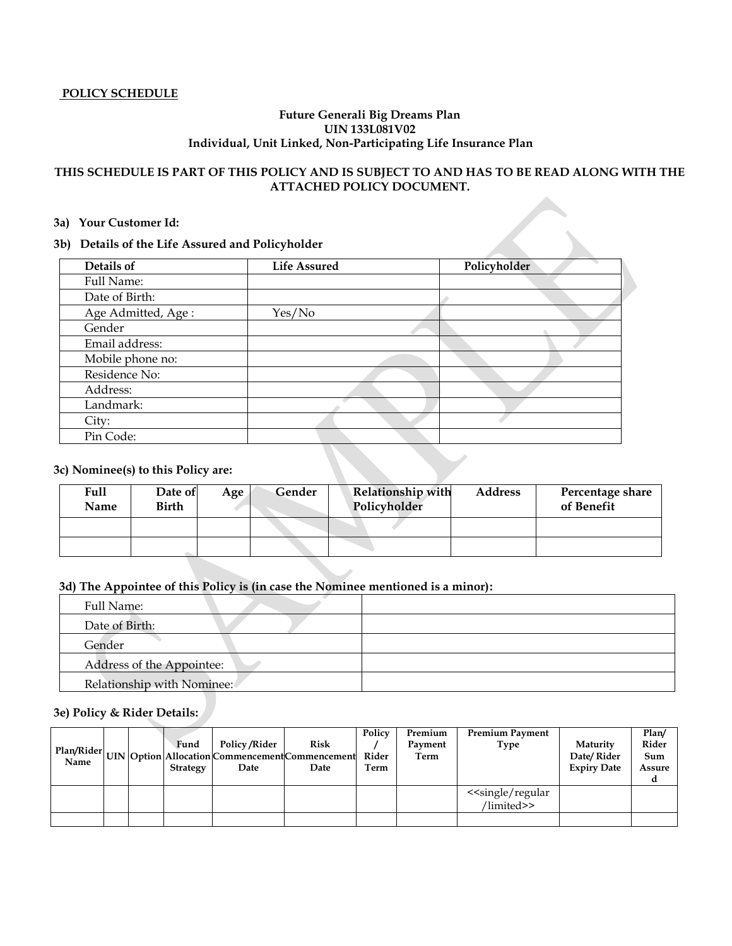### **POLICY SCHEDULE**

### **Future Generali Big Dreams Plan UIN 133L081V02 Individual, Unit Linked, Non-Participating Life Insurance Plan**

# **THIS SCHEDULE IS PART OF THIS POLICY AND IS SUBJECT TO AND HAS TO BE READ ALONG WITH THE ATTACHED POLICY DOCUMENT.**

#### **3a) Your Customer Id:**

### **3b) Details of the Life Assured and Policyholder**

| a)<br>rour Customer Ia:                         |                     |              |
|-------------------------------------------------|---------------------|--------------|
| b) Details of the Life Assured and Policyholder |                     |              |
| Details of                                      | <b>Life Assured</b> | Policyholder |
| Full Name:                                      |                     |              |
| Date of Birth:                                  |                     |              |
| Age Admitted, Age:                              | Yes/No              |              |
| Gender                                          |                     |              |
| Email address:                                  |                     |              |
| Mobile phone no:                                |                     |              |
| Residence No:                                   |                     |              |
| Address:                                        |                     |              |
| Landmark:                                       |                     |              |
| City:                                           |                     |              |
| Pin Code:                                       |                     |              |

# **3c) Nominee(s) to this Policy are:**

| Full<br>Name | Date of<br>Birth | Age | Gender | <b>Relationship with</b><br>Policyholder | <b>Address</b> | Percentage share<br>of Benefit |  |
|--------------|------------------|-----|--------|------------------------------------------|----------------|--------------------------------|--|
|              |                  |     |        |                                          |                |                                |  |
|              |                  |     |        |                                          |                |                                |  |

### **3d) The Appointee of this Policy is (in case the Nominee mentioned is a minor):**

| Full Name:                 |  |
|----------------------------|--|
| Date of Birth:             |  |
| Gender                     |  |
| Address of the Appointee:  |  |
| Relationship with Nominee: |  |

# **3e) Policy & Rider Details:**

|  | Fund<br><b>Strategy</b> | <b>Policy/Rider</b><br>$\frac{1}{1}$ $\frac{1}{2}$ $\frac{1}{2}$ $\frac{1}{2}$ $\frac{1}{2}$ $\frac{1}{2}$ $\frac{1}{2}$ $\frac{1}{2}$ $\frac{1}{2}$ $\frac{1}{2}$ $\frac{1}{2}$ $\frac{1}{2}$ $\frac{1}{2}$ $\frac{1}{2}$ $\frac{1}{2}$ $\frac{1}{2}$ $\frac{1}{2}$ $\frac{1}{2}$ $\frac{1}{2}$ $\frac{1}{2}$ $\frac{1}{2}$ $\frac{1}{2}$<br>Date | <b>Risk</b><br>Date | Policy<br>Rider<br>Term | Premium<br>Payment<br>Term | <b>Premium Payment</b><br><b>Type</b>             | Maturity<br>Date/Rider<br><b>Expiry Date</b> | Plan/<br>Rider<br>Sum<br>Assure |
|--|-------------------------|----------------------------------------------------------------------------------------------------------------------------------------------------------------------------------------------------------------------------------------------------------------------------------------------------------------------------------------------------|---------------------|-------------------------|----------------------------|---------------------------------------------------|----------------------------------------------|---------------------------------|
|  |                         |                                                                                                                                                                                                                                                                                                                                                    |                     |                         |                            | < <single regular<br="">/limited&gt;&gt;</single> |                                              |                                 |
|  |                         |                                                                                                                                                                                                                                                                                                                                                    |                     |                         |                            |                                                   |                                              |                                 |